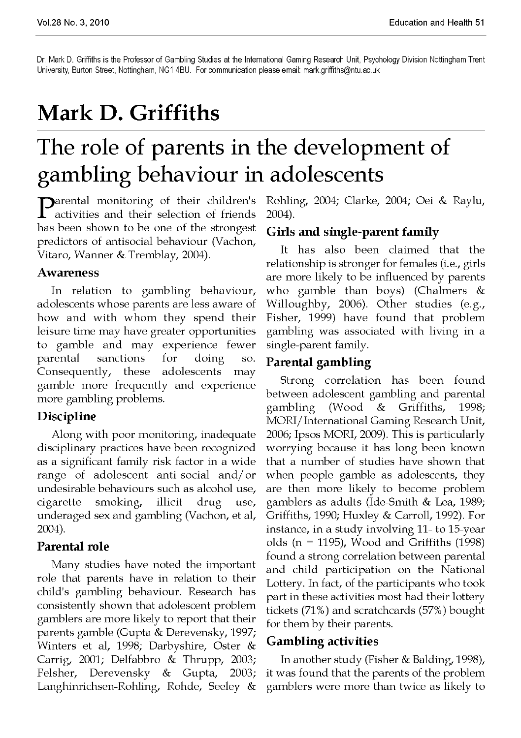Dr. Mark D. Griffiths is the Professor of Gambling Studies at the International Gaming Research Unit, Psychology Division Nottingham Trent University, Burton Street, Nottingham, NG1 4BU. For communication please email: [mark.griffiths@ntu.ac.uk](mailto:mark.griffiths@ntu.ac.uk) 

# **Mark D. Griffiths**

# The role of parents in the development of gambling behaviour in adolescents

**P**arental monitoring of their children's<br>activities and their selection of friends activities and their selection of friends has been shown to be one of the strongest predictors of antisocial behaviour (Vachon, Vitaro, Wanner & Tremblay, 2004).

#### Awareness

In relation to gambling behaviour, adolescents whose parents are less aware of how and with whom they spend their leisure time may have greater opportunities to gamble and may experience fewer parental sanctions for doing so. Consequently, these adolescents may gamble more frequently and experience more gambling problems.

#### Discipline

Along with poor monitoring, inadequate disciplinary practices have been recognized as a significant family risk factor in a wide range of adolescent anti-social and/or undesirable behaviours such as alcohol use, cigarette smoking, illicit drug use, underaged sex and gambling (Vachon, et al, 2004).

## Parental role

Many studies have noted the important role that parents have in relation to their child's gambling behaviour. Research has consistently shown that adolescent problem gamblers are more likely to report that their parents gamble (Gupta & Derevensky, 1997; Winters et al, 1998; Darbyshire, Oster & Carrig, 2001; Delfabbro & Thrupp, 2003; Felsher, Derevensky & Gupta, 2003; Langhinrichsen-Rohling, Rohde, Seeley &

Rohling, 2004; Clarke, 2004; Oei & Raylu, 2004).

## Girls and single-parent family

It has also been claimed that the relationship is stronger for females (i.e., girls are more likely to be influenced by parents who gamble than boys) (Chalmers  $\&$ Willoughby, 2006). Other studies (e.g., Fisher, 1999) have found that problem gambling was associated with living in a single-parent family.

### Parental gambling

Strong correlation has been found between adolescent gambling and parental gambling (Wood & Griffiths, 1998; MORI/International Gaming Research Unit, 2006; Ipsos MORI, 2009). This is particularly worrying because it has long been known that a number of studies have shown that when people gamble as adolescents, they are then more likely to become problem gamblers as adults (Ide-Smith & Lea, 1989; Griffiths, 1990; Huxley & Carroll, 1992). For instance, in a study involving 11- to 15-year olds ( $n = 1195$ ), Wood and Griffiths (1998) found a strong correlation between parental and child participation on the National Lottery. In fact, of the participants who took part in these activities most had their lottery tickets (71%) and scratchcards (57%) bought for them by their parents.

## Gambling activities

In another study (Fisher & Balding, 1998), it was found that the parents of the problem gamblers were more than twice as likely to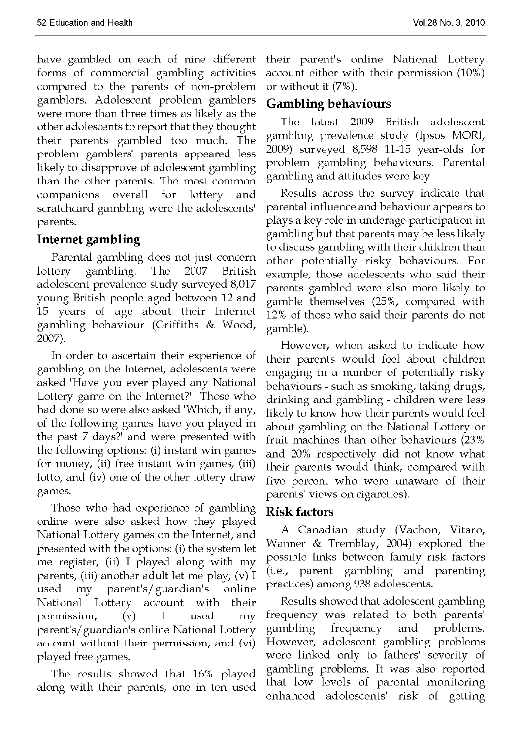have gambled on each of nine different forms of commercial gambling activities compared to the parents of non-problem gamblers. Adolescent problem gamblers were more than three times as likely as the other adolescents to report that they thought their parents gambled too much. The problem gamblers' parents appeared less likely to disapprove of adolescent gambling than the other parents. The most common companions overall for lottery and scratchcard gambling were the adolescents' parents.

#### Internet gambling

Parental gambling does not just concern lottery gambling. The 2007 British adolescent prevalence study surveyed 8,017 young British people aged between 12 and 15 years of age about their Internet gambling behaviour (Griffiths & Wood, 2007).

In order to ascertain their experience of gambling on the Internet, adolescents were asked 'Have you ever played any National Lottery game on the Internet?' Those who had done so were also asked 'Which, if any, of the following games have you played in the past 7 days?' and were presented with the following options: (i) instant win games for money,  $(ii)$  free instant win games,  $(iii)$ lotto, and (iv) one of the other lottery draw games.

Those who had experience of gambling online were also asked how they played National Lottery games on the Internet, and presented with the options: (i) the system let me register, (ii) I played along with my parents, (iii) another adult let me play, (v) I used my parent's/guardian's online National Lottery account with their permission, (v) I used my parent's/guardian's online National Lottery account without their permission, and (vi) played free games.

The results showed that 16% played along with their parents, one in ten used their parent's online National Lottery account either with their permission (10%) or without it (7%).

#### Gambling behaviours

The latest 2009 British adolescent gambling prevalence study (Ipsos MORI, 2009) surveyed 8,598 11-15 year-olds for problem gambling behaviours. Parental gambling and attitudes were key.

Results across the survey indicate that parental influence and behaviour appears to plays a key role in underage participation in gambling but that parents may be less likely to discuss gambling with their children than other potentially risky behaviours. For example, those adolescents who said their parents gambled were also more likely to gamble themselves (25%, compared with 12% of those who said their parents do not gamble).

However, when asked to indicate how their parents would feel about children engaging in a number of potentially risky behaviours - such as smoking, taking drugs, drinking and gambling - children were less likely to know how their parents would feel about gambling on the National Lottery or fruit machines than other behaviours (23% and 20% respectively did not know what their parents would think, compared with five percent who were unaware of their parents' views on cigarettes).

#### Risk factors

A Canadian study (Vachon, Vitaro, Wanner & Tremblay, 2004) explored the possible links between family risk factors (i.e., parent gambling and parenting practices) among 938 adolescents.

Results showed that adolescent gambling frequency was related to both parents' gambling frequency and problems. However, adolescent gambling problems were linked only to fathers' severity of gambling problems. It was also reported that low levels of parental monitoring enhanced adolescents' risk of getting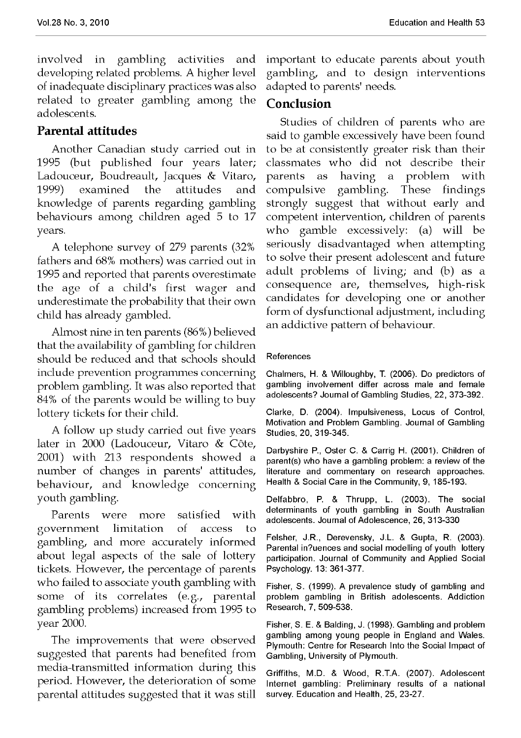involved in gambling activities and developing related problems. A higher level of inadequate disciplinary practices was also related to greater gambling among the adolescents.

# Parental attitudes

Another Canadian study carried out in 1995 (but published four years later; Ladouceur, Boudreault, Jacques & Vitaro, 1999) examined the attitudes and knowledge of parents regarding gambling behaviours among children aged 5 to 17 years.

A telephone survey of 279 parents (32% fathers and 68% mothers) was carried out in 1995 and reported that parents overestimate the age of a child's first wager and underestimate the probability that their own child has already gambled.

Almost nine in ten parents (86%) believed that the availability of gambling for children should be reduced and that schools should include prevention programmes concerning problem gambling. It was also reported that 84% of the parents would be willing to buy lottery tickets for their child.

A follow up study carried out five years later in 2000 (Ladouceur, Vitaro & Côte, 2001) with 213 respondents showed a number of changes in parents' attitudes, behaviour, and knowledge concerning youth gambling.

Parents were more satisfied with government limitation of access to gambling, and more accurately informed about legal aspects of the sale of lottery tickets. However, the percentage of parents who failed to associate youth gambling with some of its correlates (e.g., parental gambling problems) increased from 1995 to year 2000.

The improvements that were observed suggested that parents had benefited from media-transmitted information during this period. However, the deterioration of some parental attitudes suggested that it was still important to educate parents about youth gambling, and to design interventions adapted to parents' needs.

### Conclusion

Studies of children of parents who are said to gamble excessively have been found to be at consistently greater risk than their classmates who did not describe their parents as having a problem with compulsive gambling. These findings strongly suggest that without early and competent intervention, children of parents who gamble excessively: (a) will be seriously disadvantaged when attempting to solve their present adolescent and future adult problems of living; and (b) as a consequence are, themselves, high-risk candidates for developing one or another form of dysfunctional adjustment, including an addictive pattern of behaviour.

#### References

Chalmers, H. & Willoughby, T. (2006). Do predictors of gambling involvement differ across male and female adolescents? Journal of Gambling Studies, 22, 373-392.

Clarke, D. (2004). Impulsiveness, Locus of Control, Motivation and Problem Gambling. Journal of Gambling Studies, 20, 319-345.

Darbyshire P., Oster C. & Carrig H. (2001). Children of parent(s) who have a gambling problem: a review of the literature and commentary on research approaches. Health & Social Care in the Community, 9, 185-193.

Delfabbro, P. & Thrupp, L. (2003). The social determinants of youth gambling in South Australian adolescents. Journal of Adolescence, 26, 313-330

Felsher, J.R., Derevensky, J.L. & Gupta, R. (2003). Parental in?uences and social modelling of youth lottery participation. Journal of Community and Applied Social Psychology. 13: 361-377.

Fisher, S. (1999). A prevalence study of gambling and problem gambling in British adolescents. Addiction Research, 7, 509-538.

Fisher, S. E. & Balding, J. (1998). Gambling and problem gambling among young people in England and Wales. Plymouth: Centre for Research Into the Social Impact of Gambling, University of Plymouth.

Griffiths, M.D. & Wood, R.T.A. (2007). Adolescent Internet gambling: Preliminary results of a national survey. Education and Health, 25, 23-27.